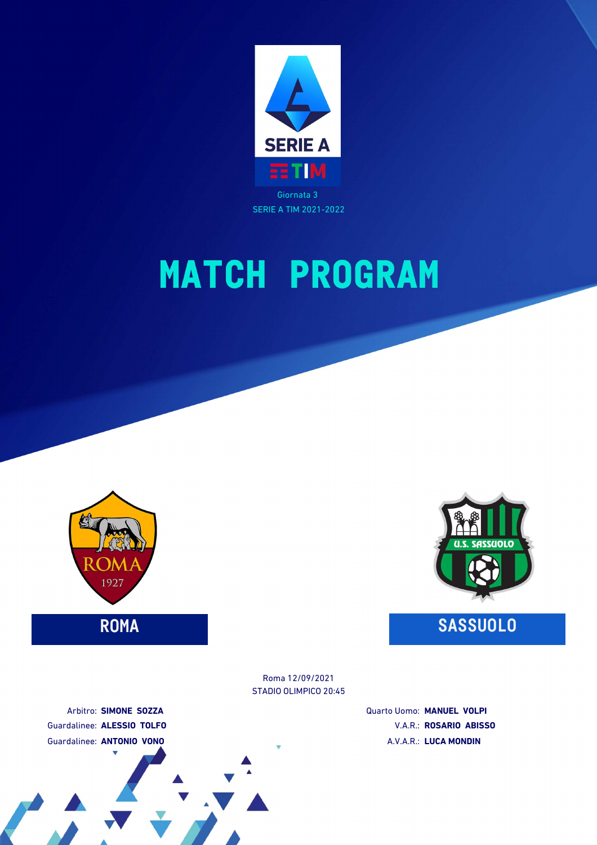

SERIE A TIM 2021-2022

# **MATCH PROGRAM**



## **ROMA SASSUOLO**

STADIO OLIMPICO 20:45 Roma 12/09/2021

> Quarto Uomo: **MANUEL VOLPI** V.A.R.: **ROSARIO ABISSO** A.V.A.R.: **LUCA MONDIN**

Arbitro: **SIMONE SOZZA** Guardalinee: **ALESSIO TOLFO** Guardalinee: **ANTONIO VONO**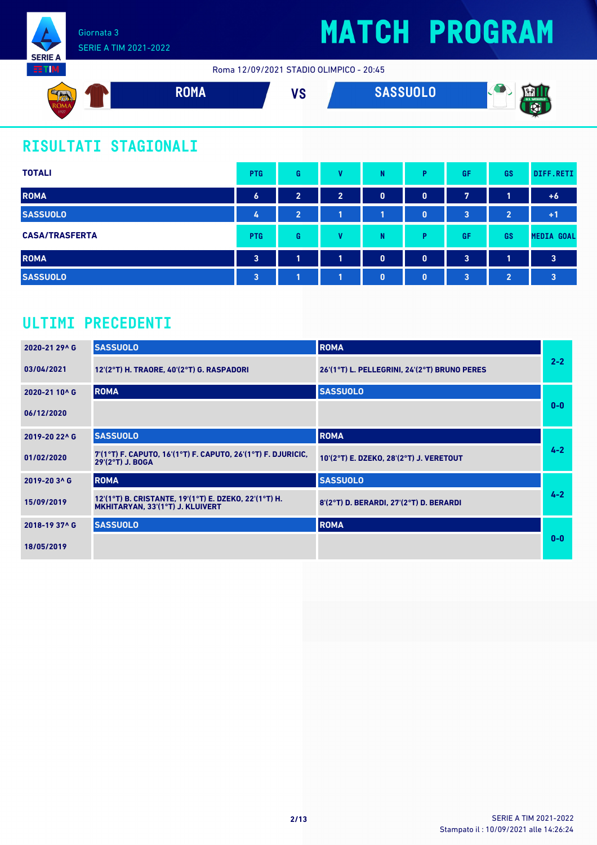

Roma 12/09/2021 STADIO OLIMPICO - 20:45



## **RISULTATI STAGIONALI**

| <b>TOTALI</b>         | <b>PTG</b>              | G              | v              | N            | D            | <b>GF</b> | GS             | DIFF.RETI               |
|-----------------------|-------------------------|----------------|----------------|--------------|--------------|-----------|----------------|-------------------------|
| <b>ROMA</b>           | $\boldsymbol{6}$        | $\overline{2}$ | $\overline{2}$ | $\mathbf 0$  | $\mathbf{0}$ | 7         |                | $+6$                    |
| <b>SASSUOLO</b>       | 4                       | $\overline{2}$ |                |              | $\bf{0}$     | 3         | $\overline{2}$ | $+1$                    |
| <b>CASA/TRASFERTA</b> | <b>PTG</b>              | G              | v              | N            | D            | <b>GF</b> | GS             | <b>MEDIA GOAL</b>       |
| <b>ROMA</b>           | $\overline{\mathbf{3}}$ | я              | п              | $\mathbf{0}$ | $\mathbf{0}$ | 3         | 1              | 3                       |
| <b>SASSUOLO</b>       | $\overline{3}$          |                |                | $\mathbf{0}$ | $\bf{0}$     | 3         | $\overline{2}$ | $\overline{\mathbf{3}}$ |

### **ULTIMI PRECEDENTI**

| 2020-21 29^ G | <b>SASSUOLO</b>                                                                           | <b>ROMA</b>                                  |         |
|---------------|-------------------------------------------------------------------------------------------|----------------------------------------------|---------|
| 03/04/2021    | 12'(2°T) H. TRAORE, 40'(2°T) G. RASPADORI                                                 | 26'(1°T) L. PELLEGRINI, 24'(2°T) BRUNO PERES | $2 - 2$ |
| 2020-21 10^ G | <b>ROMA</b>                                                                               | <b>SASSUOLO</b>                              |         |
| 06/12/2020    |                                                                                           |                                              | $0 - 0$ |
| 2019-20 22^ G | <b>SASSUOLO</b>                                                                           | <b>ROMA</b>                                  |         |
| 01/02/2020    | 7'(1°T) F. CAPUTO, 16'(1°T) F. CAPUTO, 26'(1°T) F. DJURICIC,<br>29'(2°T) J. BOGA          | 10'(2°T) E. DZEKO, 28'(2°T) J. VERETOUT      | $4 - 2$ |
| 2019-20 3^ G  | <b>ROMA</b>                                                                               | <b>SASSUOLO</b>                              |         |
| 15/09/2019    | 12'(1°T) B. CRISTANTE, 19'(1°T) E. DZEKO, 22'(1°T) H.<br>MKHITARYAN, 33'(1°T) J. KLUIVERT | 8'(2°T) D. BERARDI, 27'(2°T) D. BERARDI      | $4 - 2$ |
| 2018-19 37^ G | <b>SASSUOLO</b>                                                                           | <b>ROMA</b>                                  |         |
| 18/05/2019    |                                                                                           |                                              | $0 - 0$ |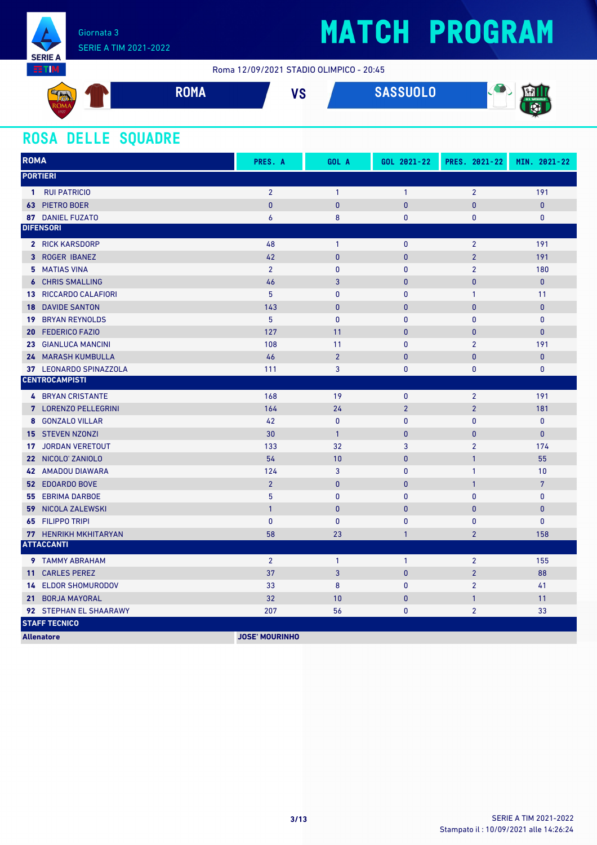

Roma 12/09/2021 STADIO OLIMPICO - 20:45



### **ROSA DELLE SQUADRE**

| <b>ROMA</b> |                              | PRES. A               | GOL A          | GOL 2021-22    | PRES. 2021-22  | MIN. 2021-22   |
|-------------|------------------------------|-----------------------|----------------|----------------|----------------|----------------|
|             | <b>PORTIERI</b>              |                       |                |                |                |                |
|             | 1 RUI PATRICIO               | $\overline{2}$        | $\mathbf{1}$   | $\mathbf{1}$   | $\overline{2}$ | 191            |
|             | 63 PIETRO BOER               | $\mathbf{0}$          | $\mathbf{0}$   | $\overline{0}$ | $\overline{0}$ | $\pmb{0}$      |
|             | <b>87 DANIEL FUZATO</b>      | 6                     | 8              | 0              | $\mathbf{0}$   | $\mathbf 0$    |
|             | <b>DIFENSORI</b>             |                       |                |                |                |                |
|             | 2 RICK KARSDORP              | 48                    | $\mathbf{1}$   | $\mathbf{0}$   | $\overline{2}$ | 191            |
|             | 3 ROGER IBANEZ               | 42                    | $\bf{0}$       | 0              | $\overline{2}$ | 191            |
|             | 5 MATIAS VINA                | $\overline{2}$        | $\mathbf{0}$   | 0              | $\overline{2}$ | 180            |
|             | <b>6 CHRIS SMALLING</b>      | 46                    | 3              | $\overline{0}$ | $\mathbf{0}$   | $\mathbf{0}$   |
|             | <b>13 RICCARDO CALAFIORI</b> | 5                     | $\mathbf 0$    | 0              | $\mathbf{1}$   | 11             |
| 18          | <b>DAVIDE SANTON</b>         | 143                   | $\mathbf{0}$   | $\mathbf{0}$   | $\mathbf{0}$   | $\mathbf{0}$   |
| 19          | <b>BRYAN REYNOLDS</b>        | 5                     | $\mathbf{0}$   | $\pmb{0}$      | $\mathbf{0}$   | $\pmb{0}$      |
| 20          | <b>FEDERICO FAZIO</b>        | 127                   | 11             | $\pmb{0}$      | $\pmb{0}$      | $\pmb{0}$      |
|             | 23 GIANLUCA MANCINI          | 108                   | 11             | $\pmb{0}$      | $\overline{2}$ | 191            |
|             | 24 MARASH KUMBULLA           | 46                    | $\overline{2}$ | $\mathbf 0$    | 0              | $\pmb{0}$      |
|             | 37 LEONARDO SPINAZZOLA       | 111                   | 3              | 0              | $\pmb{0}$      | $\mathbf 0$    |
|             | <b>CENTROCAMPISTI</b>        |                       |                |                |                |                |
|             | <b>4 BRYAN CRISTANTE</b>     | 168                   | 19             | $\mathbf 0$    | $\overline{2}$ | 191            |
|             | 7 LORENZO PELLEGRINI         | 164                   | 24             | $\overline{2}$ | $\overline{2}$ | 181            |
|             | 8 GONZALO VILLAR             | 42                    | $\pmb{0}$      | $\pmb{0}$      | $\mathbf{0}$   | $\mathbf 0$    |
|             | <b>15 STEVEN NZONZI</b>      | 30                    | $\mathbf{1}$   | $\overline{0}$ | $\mathbf{0}$   | $\mathbf{0}$   |
| 17          | <b>JORDAN VERETOUT</b>       | 133                   | 32             | 3              | $\overline{2}$ | 174            |
|             | 22 NICOLO' ZANIOLO           | 54                    | 10             | $\overline{0}$ | $\mathbf{1}$   | 55             |
|             | <b>42 AMADOU DIAWARA</b>     | 124                   | 3              | 0              | $\mathbf{1}$   | 10             |
|             | <b>52 EDOARDO BOVE</b>       | $\overline{2}$        | $\pmb{0}$      | $\pmb{0}$      | $\mathbf{1}$   | $7\phantom{.}$ |
|             | <b>55 EBRIMA DARBOE</b>      | 5                     | $\mathbf{0}$   | $\mathbf{0}$   | $\mathbf{0}$   | $\mathbf 0$    |
|             | <b>59 NICOLA ZALEWSKI</b>    | $\overline{1}$        | $\bf{0}$       | $\mathbf{0}$   | $\overline{0}$ | $\pmb{0}$      |
|             | 65 FILIPPO TRIPI             | $\mathbf{0}$          | $\mathbf{0}$   | $\bf{0}$       | $\pmb{0}$      | $\pmb{0}$      |
|             | 77 HENRIKH MKHITARYAN        | 58                    | 23             | 1              | $\overline{2}$ | 158            |
|             | <b>ATTACCANTI</b>            |                       |                |                |                |                |
|             | 9 TAMMY ABRAHAM              | $\overline{2}$        | $\mathbf{1}$   | $\mathbf{1}$   | $\overline{2}$ | 155            |
|             | 11 CARLES PEREZ              | 37                    | 3              | $\mathbf 0$    | $\overline{2}$ | 88             |
|             | <b>14 ELDOR SHOMURODOV</b>   | 33                    | 8              | $\mathbf 0$    | $\overline{2}$ | 41             |
|             | 21 BORJA MAYORAL             | 32                    | 10             | $\mathbf{0}$   | $\mathbf{1}$   | 11             |
|             | 92 STEPHAN EL SHAARAWY       | 207                   | 56             | 0              | $\overline{2}$ | 33             |
|             | <b>STAFF TECNICO</b>         |                       |                |                |                |                |
|             | <b>Allenatore</b>            | <b>JOSE' MOURINHO</b> |                |                |                |                |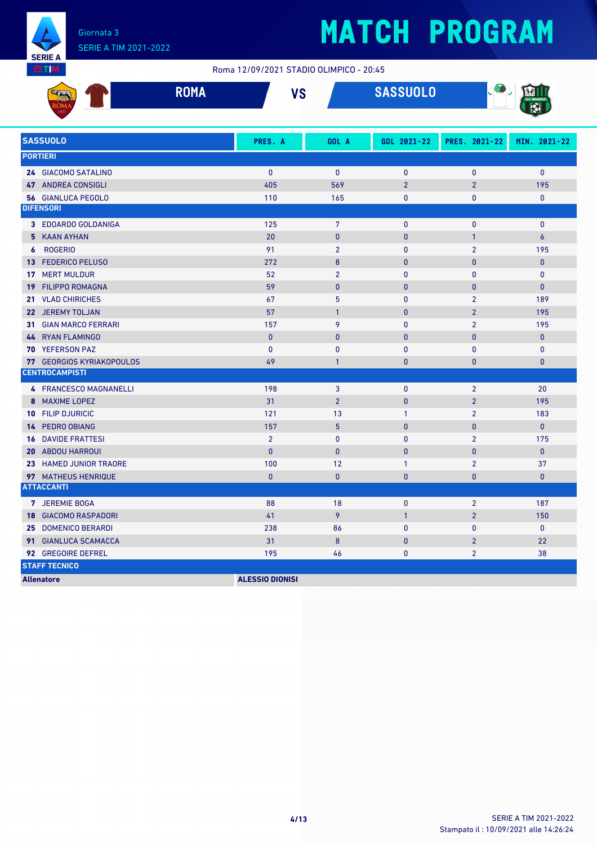

### Giornata 3 SERIE A TIM 2021-2022

# **MATCH PROGRAM**

#### Roma 12/09/2021 STADIO OLIMPICO - 20:45

| <b>All Carl Development</b><br>KUM/F | <b>ROMA</b> | VC<br>ט ו | SASSUOLO | U.S. SASSUOLO |
|--------------------------------------|-------------|-----------|----------|---------------|
| 1927                                 |             |           |          |               |

| <b>SASSUOLO</b>                       | PRES. A                | GOL A           | GOL 2021-22    | PRES. 2021-22  | MIN. 2021-22     |
|---------------------------------------|------------------------|-----------------|----------------|----------------|------------------|
| <b>PORTIERI</b>                       |                        |                 |                |                |                  |
| 24 GIACOMO SATALINO                   | $\mathbf{0}$           | $\mathbf{0}$    | $\mathbf{0}$   | $\mathbf{0}$   | $\mathbf{0}$     |
| 47 ANDREA CONSIGLI                    | 405                    | 569             | $\overline{2}$ | $\overline{2}$ | 195              |
| <b>56 GIANLUCA PEGOLO</b>             | 110                    | 165             | 0              | 0              | 0                |
| <b>DIFENSORI</b>                      |                        |                 |                |                |                  |
| 3 EDOARDO GOLDANIGA                   | 125                    | $7\overline{ }$ | $\mathbf{0}$   | $\mathbf{0}$   | $\mathbf{0}$     |
| 5 KAAN AYHAN                          | 20                     | $\bf{0}$        | $\mathbf{0}$   | $\mathbf{1}$   | $\boldsymbol{6}$ |
| <b>ROGERIO</b><br>$\boldsymbol{6}$    | 91                     | $\overline{2}$  | $\mathbf{0}$   | $\overline{2}$ | 195              |
| 13 FEDERICO PELUSO                    | 272                    | 8               | $\mathbf{0}$   | $\mathbf{0}$   | $\mathbf{0}$     |
| <b>MERT MULDUR</b><br>17 <sup>7</sup> | 52                     | $\overline{2}$  | $\mathbf{0}$   | $\mathbf{0}$   | $\mathbf{0}$     |
| <b>FILIPPO ROMAGNA</b><br>19          | 59                     | $\bf{0}$        | $\bf{0}$       | $\mathbf{0}$   | $\mathbf{0}$     |
| 21 VLAD CHIRICHES                     | 67                     | 5               | $\mathbf{0}$   | $\overline{2}$ | 189              |
| 22 JEREMY TOLJAN                      | 57                     | $\mathbf{1}$    | $\mathbf{0}$   | $\overline{2}$ | 195              |
| <b>GIAN MARCO FERRARI</b><br>31       | 157                    | 9               | $\mathbf{0}$   | $\overline{2}$ | 195              |
| 44 RYAN FLAMINGO                      | $\mathbf{0}$           | $\mathbf{0}$    | 0              | 0              | $\pmb{0}$        |
| 70 YEFERSON PAZ                       | $\mathbf{0}$           | $\mathbf{0}$    | 0              | 0              | $\mathbf{0}$     |
| <b>77 GEORGIOS KYRIAKOPOULOS</b>      | 49                     | $\mathbf{1}$    | $\mathbf{0}$   | 0              | $\mathbf{0}$     |
| <b>CENTROCAMPISTI</b>                 |                        |                 |                |                |                  |
| 4 FRANCESCO MAGNANELLI                | 198                    | 3               | $\pmb{0}$      | $\overline{2}$ | 20               |
| 8 MAXIME LOPEZ                        | 31                     | $\overline{2}$  | $\bf{0}$       | $\overline{2}$ | 195              |
| 10 FILIP DJURICIC                     | 121                    | 13              | $\mathbf{1}$   | $\overline{2}$ | 183              |
| 14 PEDRO OBIANG                       | 157                    | 5 <sup>5</sup>  | $\mathbf{0}$   | $\mathbf{0}$   | $\mathbf{0}$     |
| <b>DAVIDE FRATTESI</b><br>16          | $\overline{2}$         | $\mathbf{0}$    | $\bf{0}$       | $\overline{2}$ | 175              |
| <b>20 ABDOU HARROUI</b>               | $\mathbf{0}$           | $\mathbf{0}$    | $\mathbf{0}$   | $\mathbf{0}$   | $\mathbf{0}$     |
| 23 HAMED JUNIOR TRAORE                | 100                    | 12              | $\mathbf{1}$   | $\overline{2}$ | 37               |
| 97 MATHEUS HENRIQUE                   | $\mathbf{0}$           | $\mathbf{0}$    | $\mathbf{0}$   | $\mathbf{0}$   | $\pmb{0}$        |
| <b>ATTACCANTI</b>                     |                        |                 |                |                |                  |
| 7 JEREMIE BOGA                        | 88                     | 18              | $\mathbf{0}$   | $\overline{2}$ | 187              |
| <b>18 GIACOMO RASPADORI</b>           | 41                     | 9               | $\mathbf{1}$   | $\overline{2}$ | 150              |
| 25 DOMENICO BERARDI                   | 238                    | 86              | $\mathbf{0}$   | 0              | $\mathbf{0}$     |
| 91 GIANLUCA SCAMACCA                  | 31                     | 8               | $\bf{0}$       | $\overline{2}$ | 22               |
| 92 GREGOIRE DEFREL                    | 195                    | 46              | 0              | $\overline{2}$ | 38               |
| <b>STAFF TECNICO</b>                  |                        |                 |                |                |                  |
| <b>Allenatore</b>                     | <b>ALESSIO DIONISI</b> |                 |                |                |                  |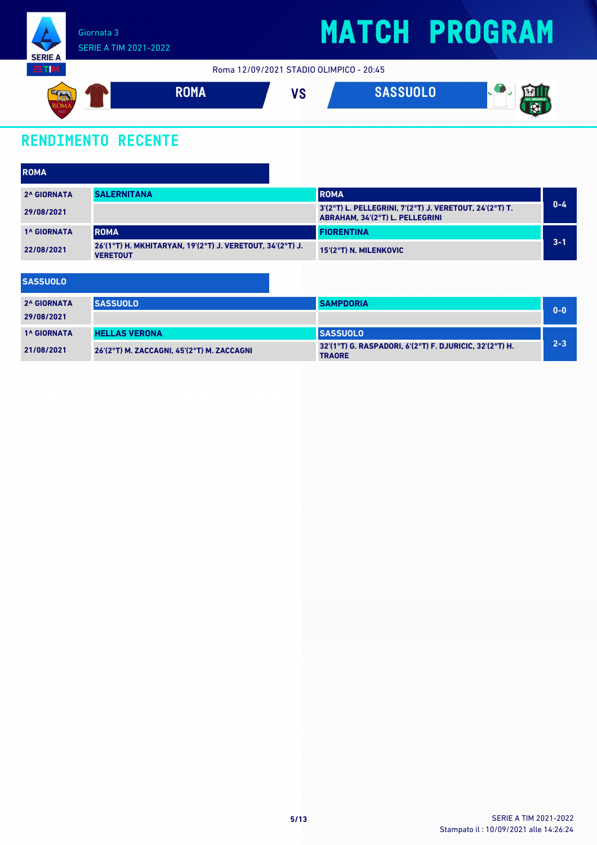

Roma 12/09/2021 STADIO OLIMPICO - 20:45



### **RENDIMENTO RECENTE**

**SASSUOLO**

| <b>ROMA</b>        |                                                                              |                                                                                            |         |
|--------------------|------------------------------------------------------------------------------|--------------------------------------------------------------------------------------------|---------|
| <b>2^ GIORNATA</b> | <b>SALERNITANA</b>                                                           | <b>ROMA</b>                                                                                |         |
| 29/08/2021         |                                                                              | 3'(2°T) L. PELLEGRINI, 7'(2°T) J. VERETOUT, 24'(2°T) T.<br>ABRAHAM, 34'(2°T) L. PELLEGRINI | $0 - 4$ |
| <b>1^ GIORNATA</b> | <b>ROMA</b>                                                                  | <b>FIORENTINA</b>                                                                          |         |
| 22/08/2021         | 26'(1°T) H. MKHITARYAN, 19'(2°T) J. VERETOUT, 34'(2°T) J.<br><b>VERETOUT</b> | 15'(2°T) N. MILENKOVIC                                                                     | $3 - 1$ |

| .                  |                                            |                                                                          |         |
|--------------------|--------------------------------------------|--------------------------------------------------------------------------|---------|
| <b>2^ GIORNATA</b> | <b>SASSUOLO</b>                            | <b>SAMPDORIA</b>                                                         | $0 - 0$ |
| 29/08/2021         |                                            |                                                                          |         |
| <b>1^ GIORNATA</b> | <b>HELLAS VERONA</b>                       | <b>ISASSUOLO</b>                                                         |         |
| 21/08/2021         | 26'(2°T) M. ZACCAGNI, 45'(2°T) M. ZACCAGNI | 32'(1°T) G. RASPADORI, 6'(2°T) F. DJURICIC, 32'(2°T) H.<br><b>TRAORE</b> | $2 - 3$ |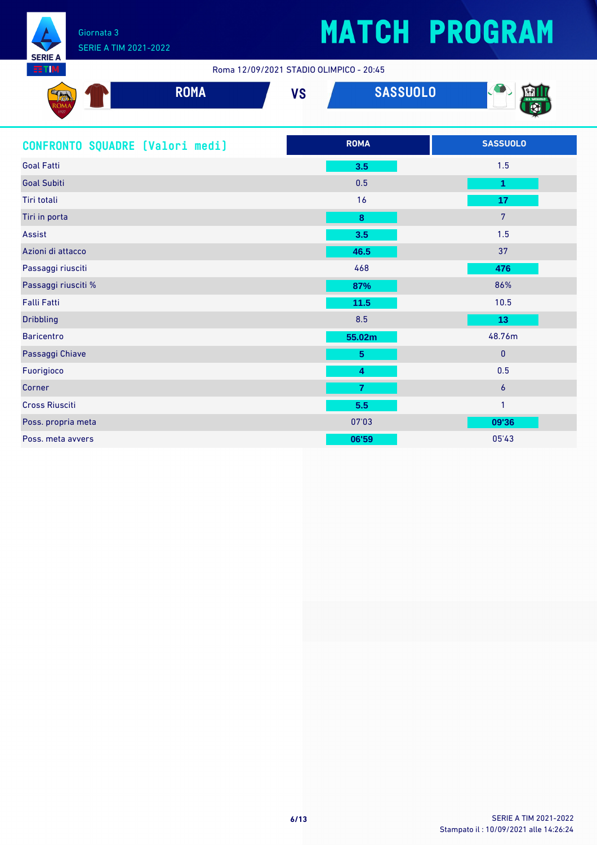

**SERIE** 

## **MATCH PROGRAM**

Roma 12/09/2021 STADIO OLIMPICO - 20:45

| <b>Dans</b><br><b>All Cardian</b><br>JIVA A | <b>DAMA</b><br><b>KUMA</b> | VÕ<br>V J | <b>SASSUOLO</b> | 4.997<br>$-$ |
|---------------------------------------------|----------------------------|-----------|-----------------|--------------|
| 1927                                        |                            |           |                 |              |

| CONFRONTO SQUADRE [Valori medi] | <b>ROMA</b>             | <b>SASSUOLO</b> |
|---------------------------------|-------------------------|-----------------|
| <b>Goal Fatti</b>               | 3.5                     | 1.5             |
| <b>Goal Subiti</b>              | 0.5                     | 1               |
| Tiri totali                     | 16                      | 17              |
| Tiri in porta                   | $\bf8$                  | $7\overline{ }$ |
| Assist                          | 3.5                     | 1.5             |
| Azioni di attacco               | 46.5                    | 37              |
| Passaggi riusciti               | 468                     | 476             |
| Passaggi riusciti %             | 87%                     | 86%             |
| <b>Falli Fatti</b>              | $11.5$                  | 10.5            |
| <b>Dribbling</b>                | 8.5                     | 13              |
| <b>Baricentro</b>               | 55.02m                  | 48.76m          |
| Passaggi Chiave                 | $5\phantom{.0}$         | $\mathbf{0}$    |
| Fuorigioco                      | $\overline{\mathbf{4}}$ | 0.5             |
| Corner                          | $\overline{7}$          | $\overline{6}$  |
| <b>Cross Riusciti</b>           | 5.5                     | $\mathbf{1}$    |
| Poss. propria meta              | 07'03                   | 09'36           |
| Poss. meta avvers               | 06'59                   | 05'43           |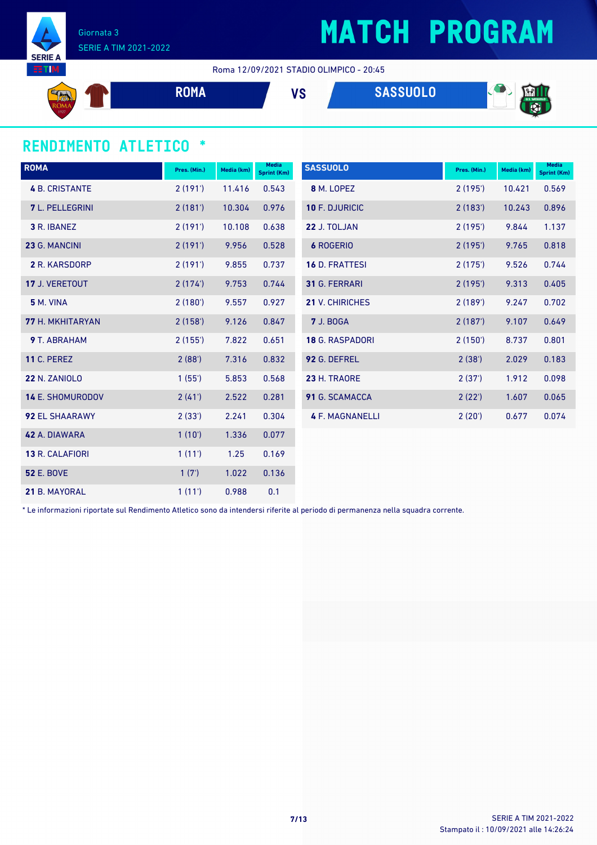

Giornata 3 SERIE A TIM 2021-2022

Roma 12/09/2021 STADIO OLIMPICO - 20:45

$$
V_S
$$
 
$$
SASSUOLO
$$

### **RENDIMENTO ATLETICO \***

| <b>ROMA</b>             | Pres. (Min.) | Media (km) | <b>Media</b><br><b>Sprint (Km)</b> | <b>SASSUOLO</b>        | Pres. (Min.) | Media (km) | <b>Media</b><br>Sprint (Km) |
|-------------------------|--------------|------------|------------------------------------|------------------------|--------------|------------|-----------------------------|
| <b>4 B. CRISTANTE</b>   | 2(191)       | 11.416     | 0.543                              | 8 M. LOPEZ             | 2(195)       | 10.421     | 0.569                       |
| <b>7</b> L. PELLEGRINI  | 2(181)       | 10.304     | 0.976                              | 10 F. DJURICIC         | 2(183)       | 10.243     | 0.896                       |
| 3 R. IBANEZ             | 2(191)       | 10.108     | 0.638                              | 22 J. TOLJAN           | 2(195)       | 9.844      | 1.137                       |
| 23 G. MANCINI           | 2(191)       | 9.956      | 0.528                              | <b>6 ROGERIO</b>       | 2(195)       | 9.765      | 0.818                       |
| 2 R. KARSDORP           | 2(191)       | 9.855      | 0.737                              | <b>16 D. FRATTESI</b>  | 2(175)       | 9.526      | 0.744                       |
| 17 J. VERETOUT          | 2(174)       | 9.753      | 0.744                              | 31 G. FERRARI          | 2(195)       | 9.313      | 0.405                       |
| 5 M. VINA               | 2(180)       | 9.557      | 0.927                              | <b>21 V. CHIRICHES</b> | 2(189)       | 9.247      | 0.702                       |
| <b>77 H. MKHITARYAN</b> | 2(158)       | 9.126      | 0.847                              | <b>7 J. BOGA</b>       | 2(187)       | 9.107      | 0.649                       |
| 9 T. ABRAHAM            | 2(155)       | 7.822      | 0.651                              | <b>18 G. RASPADORI</b> | 2(150)       | 8.737      | 0.801                       |
| <b>11 C. PEREZ</b>      | 2(88')       | 7.316      | 0.832                              | 92 G. DEFREL           | 2(38')       | 2.029      | 0.183                       |
| <b>22 N. ZANIOLO</b>    | 1(55')       | 5.853      | 0.568                              | 23 H. TRAORE           | 2(37)        | 1.912      | 0.098                       |
| <b>14 E. SHOMURODOV</b> | 2(41)        | 2.522      | 0.281                              | 91 G. SCAMACCA         | 2(22')       | 1.607      | 0.065                       |
| <b>92 EL SHAARAWY</b>   | 2(33')       | 2.241      | 0.304                              | <b>4 F. MAGNANELLI</b> | 2(20')       | 0.677      | 0.074                       |
| 42 A. DIAWARA           | 1(10')       | 1.336      | 0.077                              |                        |              |            |                             |
| 13 R. CALAFIORI         | 1(11')       | 1.25       | 0.169                              |                        |              |            |                             |
| <b>52 E. BOVE</b>       | 1(7)         | 1.022      | 0.136                              |                        |              |            |                             |
| 21 B. MAYORAL           | 1(11')       | 0.988      | 0.1                                |                        |              |            |                             |

\* Le informazioni riportate sul Rendimento Atletico sono da intendersi riferite al periodo di permanenza nella squadra corrente.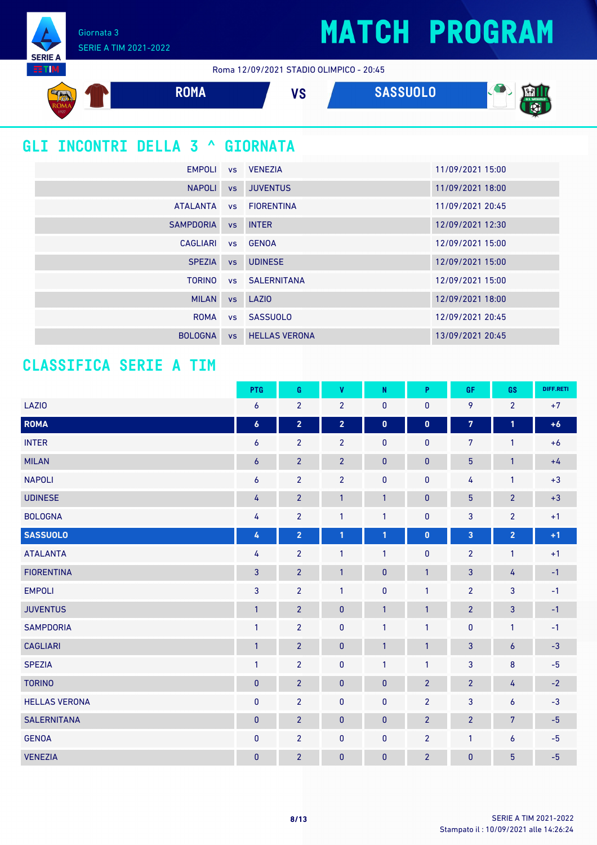Giornata 3 SERIE A TIM 2021-2022

**SERIE A** EETIM.

Roma 12/09/2021 STADIO OLIMPICO - 20:45



| NAPOLI VS         |           | <b>JUVENTUS</b>       | 11/09/2021 18:00 |
|-------------------|-----------|-----------------------|------------------|
| ATALANTA          | VS        | <b>FIORENTINA</b>     | 11/09/2021 20:45 |
| <b>SAMPDORIA</b>  | <b>VS</b> | <b>INTER</b>          | 12/09/2021 12:30 |
| CAGLIARI VS GENOA |           |                       | 12/09/2021 15:00 |
| <b>SPEZIA</b>     | <b>VS</b> | <b>UDINESE</b>        | 12/09/2021 15:00 |
|                   |           | TORINO VS SALERNITANA | 12/09/2021 15:00 |
| <b>MILAN</b>      |           | vs LAZIO              | 12/09/2021 18:00 |
|                   |           | ROMA vs SASSUOLO      | 12/09/2021 20:45 |
| <b>BOLOGNA</b>    | <b>VS</b> | <b>HELLAS VERONA</b>  | 13/09/2021 20:45 |

### **CLASSIFICA SERIE A TIM**

|                      | <b>PTG</b>       | G                       | V              | N            | P              | GF                      | GS              | DIFF.RETI |
|----------------------|------------------|-------------------------|----------------|--------------|----------------|-------------------------|-----------------|-----------|
| <b>LAZIO</b>         | 6                | $\overline{2}$          | $\overline{2}$ | 0            | 0              | 9                       | $\overline{2}$  | $+7$      |
| ROMA                 | $\boldsymbol{6}$ | $\overline{\mathbf{2}}$ | $\overline{2}$ | $\mathbf 0$  | $\mathbf 0$    | $\overline{7}$          | 1               | $+6$      |
| <b>INTER</b>         | 6                | $\overline{2}$          | $\overline{2}$ | 0            | 0              | 7                       | 1               | $+6$      |
| <b>MILAN</b>         | $\boldsymbol{6}$ | $\overline{2}$          | $\overline{2}$ | $\pmb{0}$    | $\pmb{0}$      | $\overline{5}$          | $\mathbf{1}$    | $+4$      |
| <b>NAPOLI</b>        | 6                | $\overline{2}$          | $\overline{2}$ | 0            | $\mathbf{0}$   | 4                       | $\mathbf{1}$    | $+3$      |
| <b>UDINESE</b>       | 4                | $\overline{2}$          | $\mathbf{1}$   | $\mathbf{1}$ | 0              | $\overline{5}$          | $\overline{2}$  | $+3$      |
| <b>BOLOGNA</b>       | 4                | $\overline{2}$          | $\mathbf{1}$   | $\mathbf{1}$ | 0              | 3                       | $\overline{2}$  | $+1$      |
| <b>SASSUOLO</b>      | 4                | $\overline{\mathbf{2}}$ | $\mathbf{1}$   | $\mathbf{1}$ | $\pmb{0}$      | $\overline{\mathbf{3}}$ | $\overline{2}$  | $+1$      |
| <b>ATALANTA</b>      | 4                | $\overline{2}$          | $\mathbf{1}$   | 1            | 0              | $\overline{2}$          | $\mathbf{1}$    | $+1$      |
| <b>FIORENTINA</b>    | 3                | $\overline{2}$          | $\mathbf{1}$   | $\pmb{0}$    | $\mathbf{1}$   | $\overline{3}$          | 4               | $-1$      |
| <b>EMPOLI</b>        | 3                | $\overline{2}$          | $\mathbf{1}$   | 0            | $\mathbf{1}$   | $\overline{2}$          | 3               | $-1$      |
| <b>JUVENTUS</b>      | $\mathbf{1}$     | $\overline{2}$          | $\pmb{0}$      | $\mathbf{1}$ | $\mathbf{1}$   | $\overline{2}$          | 3               | $-1$      |
| <b>SAMPDORIA</b>     | $\mathbf{1}$     | $\overline{2}$          | $\pmb{0}$      | 1            | $\mathbf{1}$   | $\pmb{0}$               | $\mathbf{1}$    | $-1$      |
| <b>CAGLIARI</b>      | $\mathbf{1}$     | $\overline{2}$          | $\pmb{0}$      | 1            | $\mathbf{1}$   | 3                       | 6               | $-3$      |
| <b>SPEZIA</b>        | $\mathbf{1}$     | $\overline{2}$          | $\pmb{0}$      | $\mathbf{1}$ | $\mathbf{1}$   | $\mathbf{3}$            | 8               | $-5$      |
| <b>TORINO</b>        | $\pmb{0}$        | $\overline{2}$          | $\pmb{0}$      | $\pmb{0}$    | $\overline{2}$ | $\overline{2}$          | 4               | $-2$      |
| <b>HELLAS VERONA</b> | $\pmb{0}$        | $\overline{2}$          | 0              | $\pmb{0}$    | $\overline{2}$ | $\mathbf{3}$            | 6               | $-3$      |
| <b>SALERNITANA</b>   | $\pmb{0}$        | $\overline{2}$          | $\mathbf{0}$   | $\pmb{0}$    | $\overline{2}$ | $\overline{2}$          | $\overline{7}$  | $-5$      |
| <b>GENOA</b>         | $\bf{0}$         | $\overline{2}$          | 0              | 0            | $\overline{2}$ | $\mathbf{1}$            | 6               | $-5$      |
| <b>VENEZIA</b>       | $\pmb{0}$        | $\overline{2}$          | $\pmb{0}$      | $\pmb{0}$    | $\overline{2}$ | $\pmb{0}$               | $5\phantom{.0}$ | $-5$      |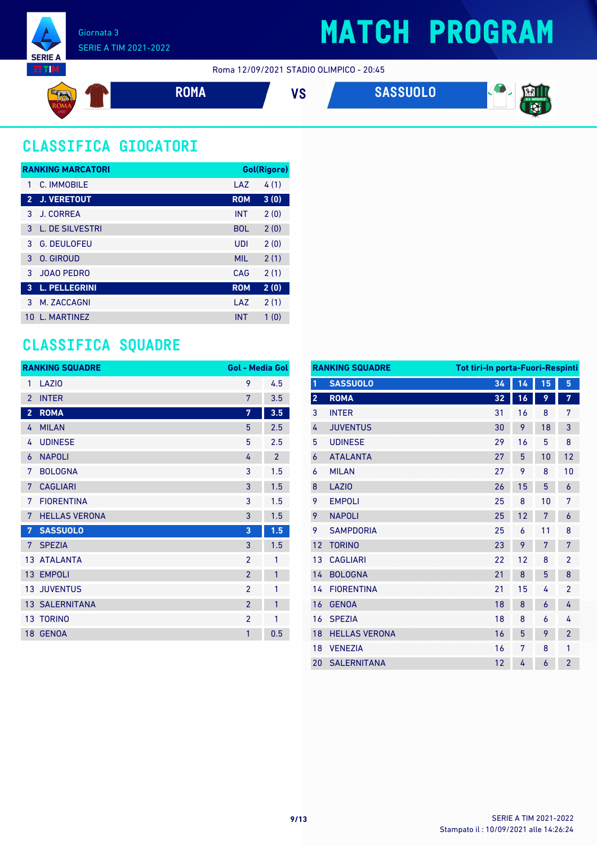





### **CLASSIFICA GIOCATORI**

|                | <b>RANKING MARCATORI</b> |            | Gol(Rigore) |
|----------------|--------------------------|------------|-------------|
| 1              | C. IMMOBILE              | LAZ        | 4(1)        |
| $\overline{2}$ | <b>J. VERETOUT</b>       | <b>ROM</b> | 3(0)        |
| 3              | <b>J. CORREA</b>         | <b>INT</b> | 2(0)        |
| 3              | L. DE SILVESTRI          | <b>BOL</b> | 2(0)        |
| 3              | <b>G. DEULOFEU</b>       | UDI        | 2(0)        |
| 3              | O. GIROUD                | <b>MIL</b> | 2(1)        |
| 3              | <b>JOAO PEDRO</b>        | CAG        | 2(1)        |
| 3              | <b>L. PELLEGRINI</b>     | <b>ROM</b> | 2(0)        |
| 3              | M. ZACCAGNI              | LAZ        | 2(1)        |
| 10             | <b>I. MARTINFZ</b>       | <b>INT</b> | 1(0)        |

### **CLASSIFICA SQUADRE**

|                | <b>RANKING SQUADRE</b> | <b>Gol - Media Gol</b> |                |
|----------------|------------------------|------------------------|----------------|
| 1              | LAZIO                  | 9                      | 4.5            |
| $\mathfrak{p}$ | <b>INTER</b>           | 7                      | 3.5            |
| $\overline{2}$ | <b>ROMA</b>            | 7                      | 3.5            |
| 4              | <b>MILAN</b>           | 5                      | 2.5            |
| 4              | <b>UDINESE</b>         | 5                      | 2.5            |
| 6              | <b>NAPOLI</b>          | 4                      | $\overline{2}$ |
| 7              | <b>BOLOGNA</b>         | 3                      | 1.5            |
| 7              | <b>CAGLIARI</b>        | 3                      | 1.5            |
| 7              | <b>FIORENTINA</b>      | 3                      | 1.5            |
| 7              | <b>HELLAS VERONA</b>   | 3                      | 1.5            |
| 7              | <b>SASSUOLO</b>        | 3                      | 1.5            |
| 7              | <b>SPEZIA</b>          | 3                      | 1.5            |
|                | 13 ATALANTA            | $\overline{2}$         | 1              |
|                | 13 EMPOLI              | $\overline{2}$         | $\mathbf{1}$   |
| 13             | <b>JUVENTUS</b>        | $\mathfrak{p}$         | 1              |
|                | <b>13 SALERNITANA</b>  | $\overline{2}$         | 1              |
|                | <b>13 TORINO</b>       | $\overline{2}$         | 1              |
|                | 18 GENOA               | 1                      | 0.5            |

|                         | <b>RANKING SQUADRE</b><br>Tot tiri-In porta-Fuori-Respinti |    |    |    |                |
|-------------------------|------------------------------------------------------------|----|----|----|----------------|
| $\mathbf{1}$            | <b>SASSUOLO</b>                                            | 34 | 14 | 15 | 5              |
| $\overline{\mathbf{2}}$ | <b>ROMA</b>                                                | 32 | 16 | 9  | 7              |
| 3                       | <b>INTER</b>                                               | 31 | 16 | 8  | 7              |
| 4                       | <b>JUVENTUS</b>                                            | 30 | 9  | 18 | 3              |
| 5                       | <b>UDINESE</b>                                             | 29 | 16 | 5  | 8              |
| 6                       | <b>ATALANTA</b>                                            | 27 | 5  | 10 | 12             |
| 6                       | <b>MILAN</b>                                               | 27 | 9  | 8  | 10             |
| 8                       | LAZIO                                                      | 26 | 15 | 5  | 6              |
| 9                       | <b>EMPOLI</b>                                              | 25 | 8  | 10 | 7              |
| 9                       | <b>NAPOLI</b>                                              | 25 | 12 | 7  | 6              |
| 9                       | <b>SAMPDORIA</b>                                           | 25 | 6  | 11 | 8              |
| 12                      | <b>TORINO</b>                                              | 23 | 9  | 7  | 7              |
| 13                      | <b>CAGLIARI</b>                                            | 22 | 12 | 8  | $\overline{2}$ |
| 14                      | <b>BOLOGNA</b>                                             | 21 | 8  | 5  | 8              |
| 14                      | <b>FIORENTINA</b>                                          | 21 | 15 | 4  | $\overline{2}$ |
| 16                      | <b>GENOA</b>                                               | 18 | 8  | 6  | 4              |
| 16                      | <b>SPEZIA</b>                                              | 18 | 8  | 6  | 4              |
| 18                      | <b>HELLAS VERONA</b>                                       | 16 | 5  | 9  | $\overline{2}$ |
| 18                      | <b>VENEZIA</b>                                             | 16 | 7  | 8  | 1              |
| 20                      | <b>SALERNITANA</b>                                         | 12 | 4  | 6  | $\overline{2}$ |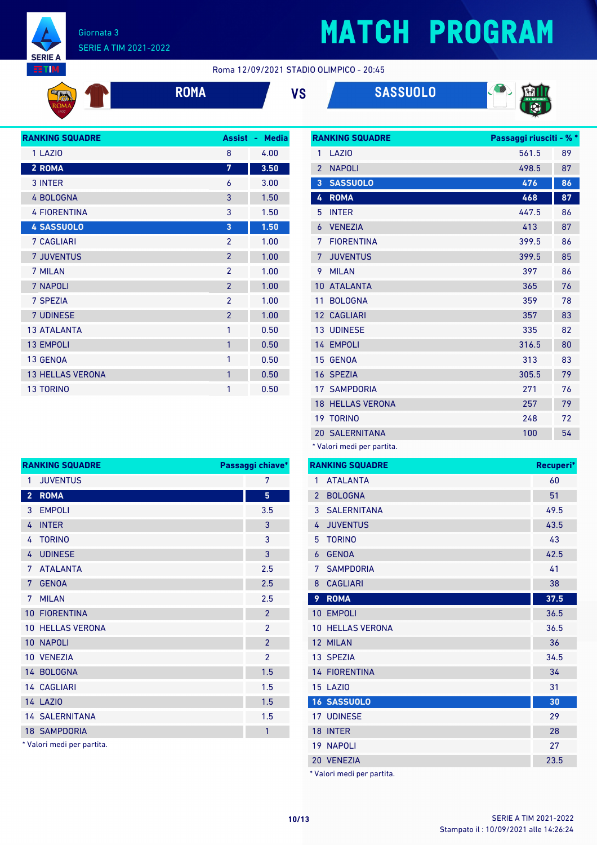

EETIM.

 $\mathfrak{a}_0$ 

# **MATCH PROGRAM**

Roma 12/09/2021 STADIO OLIMPICO - 20:45

|  | RТ<br>$\mathcal{L}(\mathcal{L})$ and $\mathcal{L}(\mathcal{L})$ and $\mathcal{L}(\mathcal{L})$ |
|--|------------------------------------------------------------------------------------------------|
|  |                                                                                                |

**ROMA VS SASSUOLO**



| <b>RANKING SQUADRE</b>  | <b>Assist</b>            | <b>Media</b><br>٠ |
|-------------------------|--------------------------|-------------------|
| 1 LAZIO                 | 8                        | 4.00              |
| 2 ROMA                  | 7                        | 3.50              |
| 3 INTER                 | 6                        | 3.00              |
| <b>4 BOLOGNA</b>        | 3                        | 1.50              |
| <b>4 FIORENTINA</b>     | 3                        | 1.50              |
| <b>4 SASSUOLO</b>       | 3                        | 1.50              |
| <b>7 CAGLIARI</b>       | $\overline{2}$           | 1.00              |
| <b>7 JUVENTUS</b>       | $\overline{2}$           | 1.00              |
| 7 MILAN                 | $\mathfrak{p}$           | 1.00              |
| 7 NAPOLI                | $\overline{\phantom{0}}$ | 1.00              |
| 7 SPEZIA                | $\mathfrak{p}$           | 1.00              |
| <b>7 UDINESE</b>        | $\overline{2}$           | 1.00              |
| <b>13 ATALANTA</b>      | 1                        | 0.50              |
| <b>13 EMPOLI</b>        | 1                        | 0.50              |
| 13 GENOA                | 1                        | 0.50              |
| <b>13 HELLAS VERONA</b> | 1                        | 0.50              |
| <b>13 TORINO</b>        | 1                        | 0.50              |

|                | <b>RANKING SQUADRE</b>     | Passaggi riusciti - % * |    |
|----------------|----------------------------|-------------------------|----|
| 1              | LAZI <sub>0</sub>          | 561.5                   | 89 |
| $\overline{2}$ | <b>NAPOLI</b>              | 498.5                   | 87 |
| 3              | <b>SASSUOLO</b>            | 476                     | 86 |
| 4              | <b>ROMA</b>                | 468                     | 87 |
| 5              | <b>INTER</b>               | 447.5                   | 86 |
| 6              | <b>VENEZIA</b>             | 413                     | 87 |
| 7              | <b>FIORENTINA</b>          | 399.5                   | 86 |
| 7              | <b>JUVENTUS</b>            | 399.5                   | 85 |
| 9              | <b>MILAN</b>               | 397                     | 86 |
| 10             | <b>ATALANTA</b>            | 365                     | 76 |
| 11             | <b>BOLOGNA</b>             | 359                     | 78 |
|                | 12 CAGLIARI                | 357                     | 83 |
|                | <b>13 UDINESE</b>          | 335                     | 82 |
| 14             | <b>EMPOLI</b>              | 316.5                   | 80 |
| 15             | <b>GENOA</b>               | 313                     | 83 |
|                | 16 SPEZIA                  | 305.5                   | 79 |
| 17             | <b>SAMPDORIA</b>           | 271                     | 76 |
| 18             | <b>HELLAS VERONA</b>       | 257                     | 79 |
| 19             | <b>TORINO</b>              | 248                     | 72 |
|                | <b>20 SALERNITANA</b>      | 100                     | 54 |
|                | * Valori medi per partita. |                         |    |

|                 | <b>RANKING SQUADRE</b>     | Passaggi chiave*         |
|-----------------|----------------------------|--------------------------|
| 1               | <b>JUVENTUS</b>            | 7                        |
| $\overline{2}$  | <b>ROMA</b>                | 5                        |
| 3               | <b>EMPOLI</b>              | 3.5                      |
| 4               | <b>INTER</b>               | 3                        |
| 4               | <b>TORINO</b>              | 3                        |
| 4               | <b>UDINESE</b>             | 3                        |
| 7               | <b>ATALANTA</b>            | 2.5                      |
| 7               | <b>GENOA</b>               | 2.5                      |
| 7               | <b>MILAN</b>               | 2.5                      |
| 10 <sup>°</sup> | <b>FIORENTINA</b>          | $\overline{\phantom{a}}$ |
|                 | <b>10 HELLAS VERONA</b>    | $\overline{2}$           |
|                 | 10 NAPOLI                  | $\overline{2}$           |
|                 | 10 VENEZIA                 | $\mathfrak{p}$           |
|                 | 14 BOLOGNA                 | 1.5                      |
|                 | <b>14 CAGLIARI</b>         | 1.5                      |
|                 | <b>14 LAZIO</b>            | 1.5                      |
|                 | <b>14 SALERNITANA</b>      | 1.5                      |
|                 | <b>18 SAMPDORIA</b>        | $\mathbf{1}$             |
|                 | * Valori medi per partita. |                          |

|                | <b>RANKING SQUADRE</b>     | Recuperi* |
|----------------|----------------------------|-----------|
| $\mathbf{1}$   | <b>ATALANTA</b>            | 60        |
| $\overline{2}$ | <b>BOLOGNA</b>             | 51        |
| 3              | <b>SALERNITANA</b>         | 49.5      |
| 4              | <b>JUVENTUS</b>            | 43.5      |
| 5              | <b>TORINO</b>              | 43        |
| 6              | <b>GENOA</b>               | 42.5      |
| 7              | <b>SAMPDORIA</b>           | 41        |
| 8              | <b>CAGLIARI</b>            | 38        |
| 9              | <b>ROMA</b>                | 37.5      |
|                | 10 EMPOLI                  | 36.5      |
| 10             | <b>HELLAS VERONA</b>       | 36.5      |
| 12             | <b>MILAN</b>               | 36        |
|                | 13 SPEZIA                  | 34.5      |
|                | <b>14 FIORENTINA</b>       | 34        |
|                | <b>15 LAZIO</b>            | 31        |
|                | <b>16 SASSUOLO</b>         | 30        |
|                | <b>17 UDINESE</b>          | 29        |
|                | 18 INTER                   | 28        |
|                | <b>19 NAPOLI</b>           | 27        |
|                | 20 VENEZIA                 | 23.5      |
|                | * Valori medi per partita. |           |

Stampato il : 10/09/2021 alle 14:26:24 **10/13** SERIE A TIM 2021-2022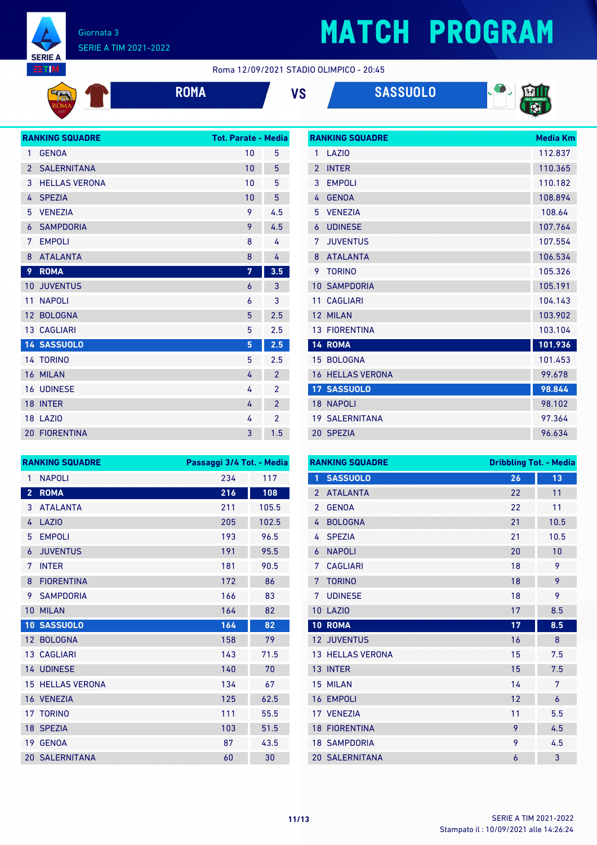

**EG** 

### Giornata 3 SERIE A TIM 2021-2022

## **MATCH PROGRAM**

Roma 12/09/2021 STADIO OLIMPICO - 20:45

|  | R |
|--|---|
|  |   |







|                 | <b>RANKING SQUADRE</b> | <b>Tot. Parate - Media</b> |                |
|-----------------|------------------------|----------------------------|----------------|
| 1               | <b>GENOA</b>           | 10                         | 5              |
| $\overline{2}$  | <b>SALERNITANA</b>     | 10                         | 5              |
| 3               | <b>HELLAS VERONA</b>   | 10                         | 5              |
| 4               | <b>SPEZIA</b>          | 10                         | 5              |
| 5               | <b>VENEZIA</b>         | 9                          | 4.5            |
| 6               | <b>SAMPDORIA</b>       | 9                          | 4.5            |
| 7               | <b>EMPOLI</b>          | 8                          | 4              |
| 8               | <b>ATALANTA</b>        | 8                          | 4              |
| 9               | <b>ROMA</b>            | 7                          | 3.5            |
| 10 <sup>°</sup> | <b>JUVENTUS</b>        | 6                          | 3              |
| 11              | <b>NAPOLI</b>          | 6                          | 3              |
| 12 <sup>°</sup> | <b>BOLOGNA</b>         | 5                          | 2.5            |
|                 | <b>13 CAGLIARI</b>     | 5                          | 2.5            |
|                 | <b>14 SASSUOLO</b>     | 5                          | 2.5            |
|                 | 14 TORINO              | 5                          | 2.5            |
|                 | 16 MILAN               | 4                          | $\overline{2}$ |
|                 | <b>16 UDINESE</b>      | 4                          | $\overline{2}$ |
|                 | 18 INTER               | 4                          | $\overline{2}$ |
|                 | <b>18 LAZIO</b>        | 4                          | $\overline{2}$ |
|                 | <b>20 FIORENTINA</b>   | 3                          | 1.5            |

|                 | <b>RANKING SQUADRE</b> | <b>Media Km</b> |
|-----------------|------------------------|-----------------|
| 1               | LAZIO                  | 112.837         |
| $\mathfrak{p}$  | <b>INTER</b>           | 110.365         |
| 3               | <b>EMPOLI</b>          | 110.182         |
| 4               | <b>GENOA</b>           | 108.894         |
| 5               | <b>VENEZIA</b>         | 108.64          |
| 6               | <b>UDINESE</b>         | 107.764         |
| 7               | <b>JUVENTUS</b>        | 107.554         |
| 8               | <b>ATALANTA</b>        | 106.534         |
| 9               | <b>TORINO</b>          | 105.326         |
| 10              | <b>SAMPDORIA</b>       | 105.191         |
| 11              | <b>CAGLIARI</b>        | 104.143         |
| 12              | <b>MILAN</b>           | 103.902         |
|                 | <b>13 FIORENTINA</b>   | 103.104         |
|                 | 14 ROMA                | 101.936         |
|                 | 15 BOLOGNA             | 101.453         |
| 16              | <b>HELLAS VERONA</b>   | 99.678          |
|                 | 17 SASSUOLO            | 98.844          |
| 18 <sup>°</sup> | <b>NAPOLI</b>          | 98.102          |
|                 | <b>19 SALERNITANA</b>  | 97.364          |
|                 | 20 SPEZIA              | 96.634          |

| <b>RANKING SQUADRE</b> |                         | Passaggi 3/4 Tot. - Media |       |
|------------------------|-------------------------|---------------------------|-------|
| 1                      | <b>NAPOLI</b>           | 234                       | 117   |
| $\overline{2}$         | <b>ROMA</b>             | 216                       | 108   |
| 3                      | <b>ATALANTA</b>         | 211                       | 105.5 |
| 4                      | LAZIO                   | 205                       | 102.5 |
| 5                      | <b>EMPOLI</b>           | 193                       | 96.5  |
| 6                      | <b>JUVENTUS</b>         | 191                       | 95.5  |
| 7                      | <b>INTER</b>            | 181                       | 90.5  |
| 8                      | <b>FIORENTINA</b>       | 172                       | 86    |
| 9                      | <b>SAMPDORIA</b>        | 166                       | 83    |
| 10                     | <b>MILAN</b>            | 164                       | 82    |
|                        | 10 SASSUOLO             | 164                       | 82    |
| 12 <sup>2</sup>        | <b>BOLOGNA</b>          | 158                       | 79    |
|                        | <b>13 CAGLIARI</b>      | 143                       | 71.5  |
|                        | 14 UDINESE              | 140                       | 70    |
|                        | <b>15 HELLAS VERONA</b> | 134                       | 67    |
|                        | 16 VENEZIA              | 125                       | 62.5  |
|                        | 17 TORINO               | 111                       | 55.5  |
|                        | 18 SPEZIA               | 103                       | 51.5  |
|                        | 19 GENOA                | 87                        | 43.5  |
|                        | <b>20 SALERNITANA</b>   | 60                        | 30    |

| <b>RANKING SQUADRE</b> |                       | <b>Dribbling Tot. - Media</b> |      |
|------------------------|-----------------------|-------------------------------|------|
| 1                      | <b>SASSUOLO</b>       | 26                            | 13   |
| $\mathfrak{p}$         | <b>ATALANTA</b>       | 22                            | 11   |
| $\overline{2}$         | <b>GENOA</b>          | 22                            | 11   |
| 4                      | <b>BOLOGNA</b>        | 21                            | 10.5 |
| 4                      | <b>SPEZIA</b>         | 21                            | 10.5 |
| 6                      | <b>NAPOLI</b>         | 20                            | 10   |
| 7                      | <b>CAGLIARI</b>       | 18                            | 9    |
| 7                      | <b>TORINO</b>         | 18                            | 9    |
| 7                      | <b>UDINESE</b>        | 18                            | 9    |
| 10                     | LAZI <sub>0</sub>     | 17                            | 8.5  |
| 10                     | <b>ROMA</b>           | 17                            | 8.5  |
|                        | 12 JUVENTUS           | 16                            | 8    |
| 13 <sup>2</sup>        | <b>HELLAS VERONA</b>  | 15                            | 7.5  |
|                        | 13 INTER              | 15                            | 7.5  |
|                        | 15 MILAN              | 14                            | 7    |
|                        | 16 EMPOLI             | 12                            | 6    |
|                        | 17 VENEZIA            | 11                            | 5.5  |
|                        | <b>18 FIORENTINA</b>  | 9                             | 4.5  |
|                        | <b>18 SAMPDORIA</b>   | 9                             | 4.5  |
|                        | <b>20 SALERNITANA</b> | 6                             | 3    |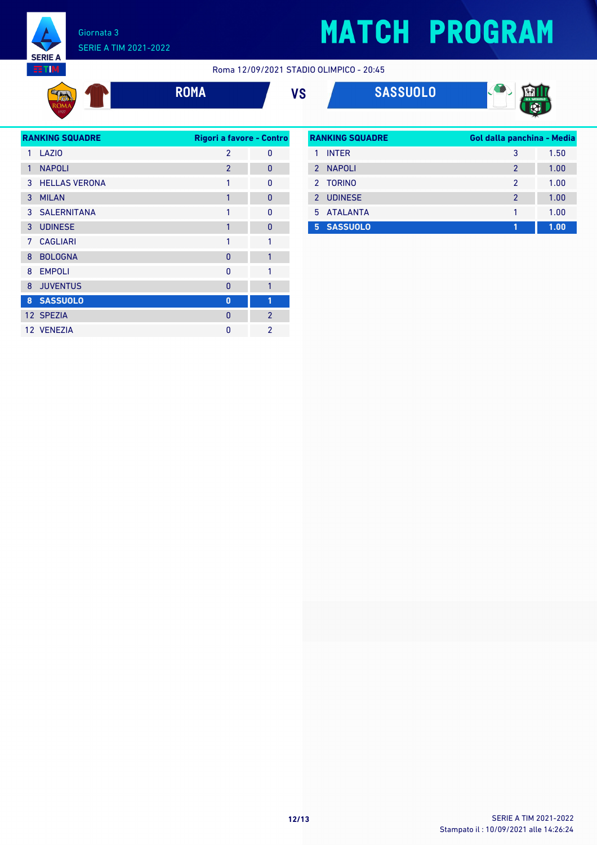

### Giornata 3 SERIE A TIM 2021-2022

**SERIE A EETIM** 

 $\frac{d}{dx}$ 

Roma 12/09/2021 STADIO OLIMPICO - 20:45



**ROMA VS SASSUOLO**



| <b>RANKING SQUADRE</b> |                      | Rigori a favore - Contro |                |
|------------------------|----------------------|--------------------------|----------------|
| 1                      | LAZI <sub>0</sub>    | $\mathfrak{p}$           | 0              |
| 1                      | <b>NAPOLI</b>        | $\mathfrak{p}$           | $\overline{0}$ |
| 3                      | <b>HELLAS VERONA</b> | 1                        | $\Omega$       |
| 3                      | <b>MILAN</b>         | 1                        | $\mathbf{0}$   |
|                        | 3 SALERNITANA        | 1                        | <sup>0</sup>   |
| 3                      | <b>UDINESE</b>       | $\mathbf{1}$             | $\overline{0}$ |
| 7                      | <b>CAGLIARI</b>      | 1                        | 1              |
| 8                      | <b>BOLOGNA</b>       | 0                        | $\mathbf{1}$   |
| 8                      | <b>EMPOLI</b>        | 0                        | 1              |
| 8                      | <b>JUVENTUS</b>      | 0                        | $\mathbf{1}$   |
| 8                      | <b>SASSUOLO</b>      | $\bf{0}$                 | 1              |
|                        | 12 SPEZIA            | $\Omega$                 | $\overline{2}$ |
|                        | 12 VENEZIA           | O                        | $\mathfrak{p}$ |

| <b>RANKING SQUADRE</b> |                 | Gol dalla panchina - Media |      |
|------------------------|-----------------|----------------------------|------|
| 1                      | <b>INTER</b>    | 3                          | 1.50 |
| $\mathcal{P}$          | NAPOLI          | $\mathfrak{p}$             | 1.00 |
|                        | 2 TORINO        | $\mathfrak{p}$             | 1.00 |
|                        | 2 UDINESE       | $\overline{2}$             | 1.00 |
|                        | 5 ATALANTA      |                            | 1.00 |
| 5                      | <b>SASSUOLO</b> | 1                          | 1.00 |